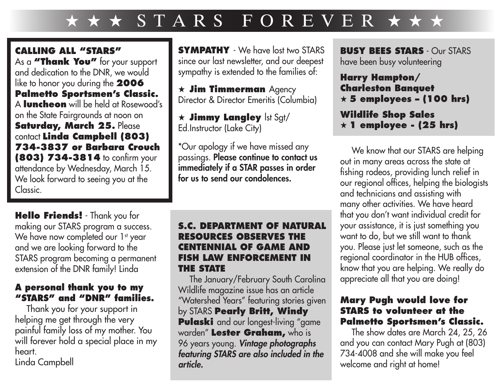## $\star \star \star$  STARS FOREVER  $\star \star \star$

**CALLING ALL "STARS"** As a **"Thank You"** for your support and dedication to the DNR, we would like to honor you during the **2006 Palmetto Sportsmen's Classic.** A **luncheon** will be held at Rosewood's on the State Fairgrounds at noon on **Saturday, March 25.** Please contact **Linda Campbell (803) 734-3837 or Barbara Crouch (803) 734-3814** to confirm your attendance by Wednesday, March 15. We look forward to seeing you at the Classic.

**Hello Friends!** - Thank you for making our STARS program a success. We have now completed our 1<sup>st</sup> year and we are looking forward to the STARS program becoming a permanent extension of the DNR family! Linda

## **A personal thank you to my "STARS" and "DNR" families.**

Thank you for your support in helping me get through the very painful family loss of my mother. You will forever hold a special place in my heart.

Linda Campbell

**SYMPATHY** - We have lost two STARS since our last newsletter, and our deepest sympathy is extended to the families of:

 $\star$  **Jim Timmerman** Agency Director & Director Emeritis (Columbia)

 $\star$  **Jimmy Langley** lst Sgt/ Ed.Instructor (Lake City)

\*Our apology if we have missed any passings. Please continue to contact us immediately if a STAR passes in order for us to send our condolences.

## **S.C. DEPARTMENT OF NATURAL RESOURCES OBSERVES THE CENTENNIAL OF GAME AND FISH LAW ENFORCEMENT IN THE STATE**

The January/February South Carolina Wildlife magazine issue has an article "Watershed Years" featuring stories given by STARS **Pearly Britt, Windy Pulaski** and our longest-living "game warden" **Lester Graham,** who is 96 years young. *Vintage photographs featuring STARS are also included in the article.*

**BUSY BEES STARS** - Our STARS have been busy volunteering

**Harry Hampton/ Charleston Banquet** H **5 employees – (100 hrs)**

**Wildlife Shop Sales** H **1 employee - (25 hrs)**

We know that our STARS are helping out in many areas across the state at fishing rodeos, providing lunch relief in our regional offices, helping the biologists and technicians and assisting with many other activities. We have heard that you don't want individual credit for your assistance, it is just something you want to do, but we still want to thank you. Please just let someone, such as the regional coordinator in the HUB offices, know that you are helping. We really do appreciate all that you are doing!

## **Mary Pugh would love for STARS to volunteer at the Palmetto Sportsmen's Classic.**

The show dates are March 24, 25, 26 and you can contact Mary Pugh at (803) 734-4008 and she will make you feel welcome and right at home!